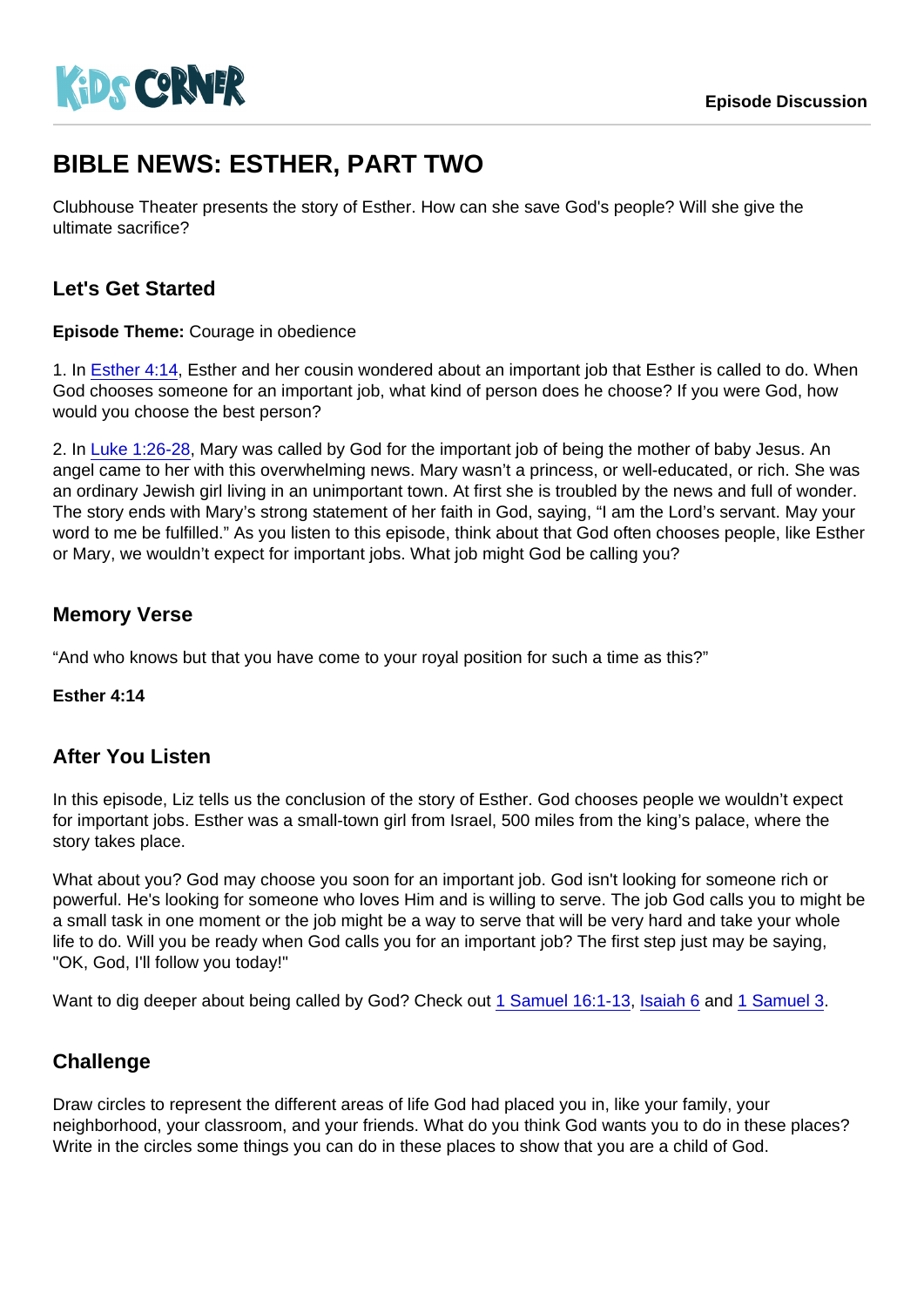# BIBLE NEWS: ESTHER, PART TWO

Clubhouse Theater presents the story of Esther. How can she save God's people? Will she give the ultimate sacrifice?

## Let's Get Started

Episode Theme: Courage in obedience

1. In [Esther 4:14,](https://www.biblegateway.com/passage/?search=Esther+4:14) Esther and her cousin wondered about an important job that Esther is called to do. When God chooses someone for an important job, what kind of person does he choose? If you were God, how would you choose the best person?

2. In [Luke 1:26-28,](https://www.biblegateway.com/passage/?search=Luke+1:26-28) Mary was called by God for the important job of being the mother of baby Jesus. An angel came to her with this overwhelming news. Mary wasn't a princess, or well-educated, or rich. She was an ordinary Jewish girl living in an unimportant town. At first she is troubled by the news and full of wonder. The story ends with Mary's strong statement of her faith in God, saying, "I am the Lord's servant. May your word to me be fulfilled." As you listen to this episode, think about that God often chooses people, like Esther or Mary, we wouldn't expect for important jobs. What job might God be calling you?

### Memory Verse

"And who knows but that you have come to your royal position for such a time as this?"

Esther 4:14

#### After You Listen

In this episode, Liz tells us the conclusion of the story of Esther. God chooses people we wouldn't expect for important jobs. Esther was a small-town girl from Israel, 500 miles from the king's palace, where the story takes place.

What about you? God may choose you soon for an important job. God isn't looking for someone rich or powerful. He's looking for someone who loves Him and is willing to serve. The job God calls you to might be a small task in one moment or the job might be a way to serve that will be very hard and take your whole life to do. Will you be ready when God calls you for an important job? The first step just may be saying, "OK, God, I'll follow you today!"

Want to dig deeper about being called by God? Check out [1 Samuel 16:1-13](https://www.biblegateway.com/passage/?search=1+Samuel+16:1-13), [Isaiah 6](https://www.biblegateway.com/passage/?search=Isaiah+6) and [1 Samuel 3](https://www.biblegateway.com/passage/?search=1+Samuel+3).

#### **Challenge**

Draw circles to represent the different areas of life God had placed you in, like your family, your neighborhood, your classroom, and your friends. What do you think God wants you to do in these places? Write in the circles some things you can do in these places to show that you are a child of God.